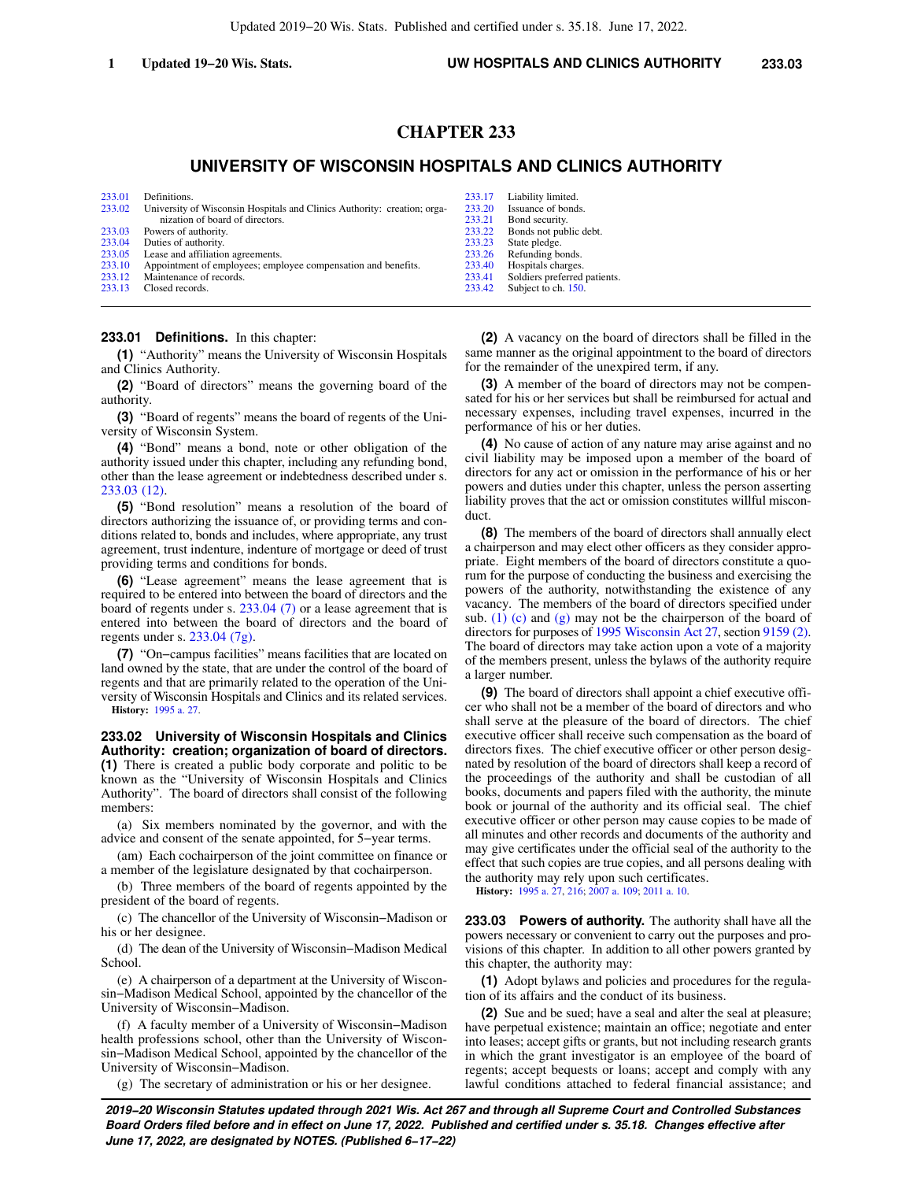# **CHAPTER 233**

## **UNIVERSITY OF WISCONSIN HOSPITALS AND CLINICS AUTHORITY**

| 233.01 | Definitions.                                                             | 233.17 | Liability limited.           |
|--------|--------------------------------------------------------------------------|--------|------------------------------|
| 233.02 | University of Wisconsin Hospitals and Clinics Authority: creation; orga- | 233.20 | Issuance of bonds.           |
|        | nization of board of directors.                                          | 233.21 | Bond security.               |
| 233.03 | Powers of authority.                                                     | 233.22 | Bonds not public debt.       |
| 233.04 | Duties of authority.                                                     | 233.23 | State pledge.                |
| 233.05 | Lease and affiliation agreements.                                        | 233.26 | Refunding bonds.             |
| 233.10 | Appointment of employees; employee compensation and benefits.            | 233.40 | Hospitals charges.           |
| 233.12 | Maintenance of records.                                                  | 233.41 | Soldiers preferred patients. |
| 233.13 | Closed records.                                                          | 233.42 | Subject to ch. 150.          |
|        |                                                                          |        |                              |

#### **233.01 Definitions.** In this chapter:

**(1)** "Authority" means the University of Wisconsin Hospitals and Clinics Authority.

**(2)** "Board of directors" means the governing board of the authority.

**(3)** "Board of regents" means the board of regents of the University of Wisconsin System.

**(4)** "Bond" means a bond, note or other obligation of the authority issued under this chapter, including any refunding bond, other than the lease agreement or indebtedness described under s. [233.03 \(12\)](https://docs.legis.wisconsin.gov/document/statutes/233.03(12)).

**(5)** "Bond resolution" means a resolution of the board of directors authorizing the issuance of, or providing terms and conditions related to, bonds and includes, where appropriate, any trust agreement, trust indenture, indenture of mortgage or deed of trust providing terms and conditions for bonds.

**(6)** "Lease agreement" means the lease agreement that is required to be entered into between the board of directors and the board of regents under s. [233.04 \(7\)](https://docs.legis.wisconsin.gov/document/statutes/233.04(7)) or a lease agreement that is entered into between the board of directors and the board of regents under s. [233.04 \(7g\)](https://docs.legis.wisconsin.gov/document/statutes/233.04(7g)).

**(7)** "On−campus facilities" means facilities that are located on land owned by the state, that are under the control of the board of regents and that are primarily related to the operation of the University of Wisconsin Hospitals and Clinics and its related services.

**History:** [1995 a. 27.](https://docs.legis.wisconsin.gov/document/acts/1995/27)

**233.02 University of Wisconsin Hospitals and Clinics Authority: creation; organization of board of directors. (1)** There is created a public body corporate and politic to be known as the "University of Wisconsin Hospitals and Clinics Authority". The board of directors shall consist of the following members:

(a) Six members nominated by the governor, and with the advice and consent of the senate appointed, for 5−year terms.

(am) Each cochairperson of the joint committee on finance or a member of the legislature designated by that cochairperson.

(b) Three members of the board of regents appointed by the president of the board of regents.

(c) The chancellor of the University of Wisconsin−Madison or his or her designee.

(d) The dean of the University of Wisconsin−Madison Medical School.

(e) A chairperson of a department at the University of Wisconsin−Madison Medical School, appointed by the chancellor of the University of Wisconsin−Madison.

(f) A faculty member of a University of Wisconsin−Madison health professions school, other than the University of Wisconsin−Madison Medical School, appointed by the chancellor of the University of Wisconsin−Madison.

(g) The secretary of administration or his or her designee.

**(2)** A vacancy on the board of directors shall be filled in the same manner as the original appointment to the board of directors for the remainder of the unexpired term, if any.

**(3)** A member of the board of directors may not be compensated for his or her services but shall be reimbursed for actual and necessary expenses, including travel expenses, incurred in the performance of his or her duties.

**(4)** No cause of action of any nature may arise against and no civil liability may be imposed upon a member of the board of directors for any act or omission in the performance of his or her powers and duties under this chapter, unless the person asserting liability proves that the act or omission constitutes willful misconduct.

**(8)** The members of the board of directors shall annually elect a chairperson and may elect other officers as they consider appropriate. Eight members of the board of directors constitute a quorum for the purpose of conducting the business and exercising the powers of the authority, notwithstanding the existence of any vacancy. The members of the board of directors specified under sub. [\(1\) \(c\)](https://docs.legis.wisconsin.gov/document/statutes/233.02(1)(c)) and [\(g\)](https://docs.legis.wisconsin.gov/document/statutes/233.02(1)(g)) may not be the chairperson of the board of directors for purposes of [1995 Wisconsin Act 27](https://docs.legis.wisconsin.gov/document/acts/1995/27), section [9159 \(2\).](https://docs.legis.wisconsin.gov/document/acts/1995/27,%20s.%209159) The board of directors may take action upon a vote of a majority of the members present, unless the bylaws of the authority require a larger number.

**(9)** The board of directors shall appoint a chief executive officer who shall not be a member of the board of directors and who shall serve at the pleasure of the board of directors. The chief executive officer shall receive such compensation as the board of directors fixes. The chief executive officer or other person designated by resolution of the board of directors shall keep a record of the proceedings of the authority and shall be custodian of all books, documents and papers filed with the authority, the minute book or journal of the authority and its official seal. The chief executive officer or other person may cause copies to be made of all minutes and other records and documents of the authority and may give certificates under the official seal of the authority to the effect that such copies are true copies, and all persons dealing with the authority may rely upon such certificates.

**History:** [1995 a. 27](https://docs.legis.wisconsin.gov/document/acts/1995/27), [216](https://docs.legis.wisconsin.gov/document/acts/1995/216); [2007 a. 109;](https://docs.legis.wisconsin.gov/document/acts/2007/109) [2011 a. 10.](https://docs.legis.wisconsin.gov/document/acts/2011/10)

**233.03 Powers of authority.** The authority shall have all the powers necessary or convenient to carry out the purposes and provisions of this chapter. In addition to all other powers granted by this chapter, the authority may:

**(1)** Adopt bylaws and policies and procedures for the regulation of its affairs and the conduct of its business.

**(2)** Sue and be sued; have a seal and alter the seal at pleasure; have perpetual existence; maintain an office; negotiate and enter into leases; accept gifts or grants, but not including research grants in which the grant investigator is an employee of the board of regents; accept bequests or loans; accept and comply with any lawful conditions attached to federal financial assistance; and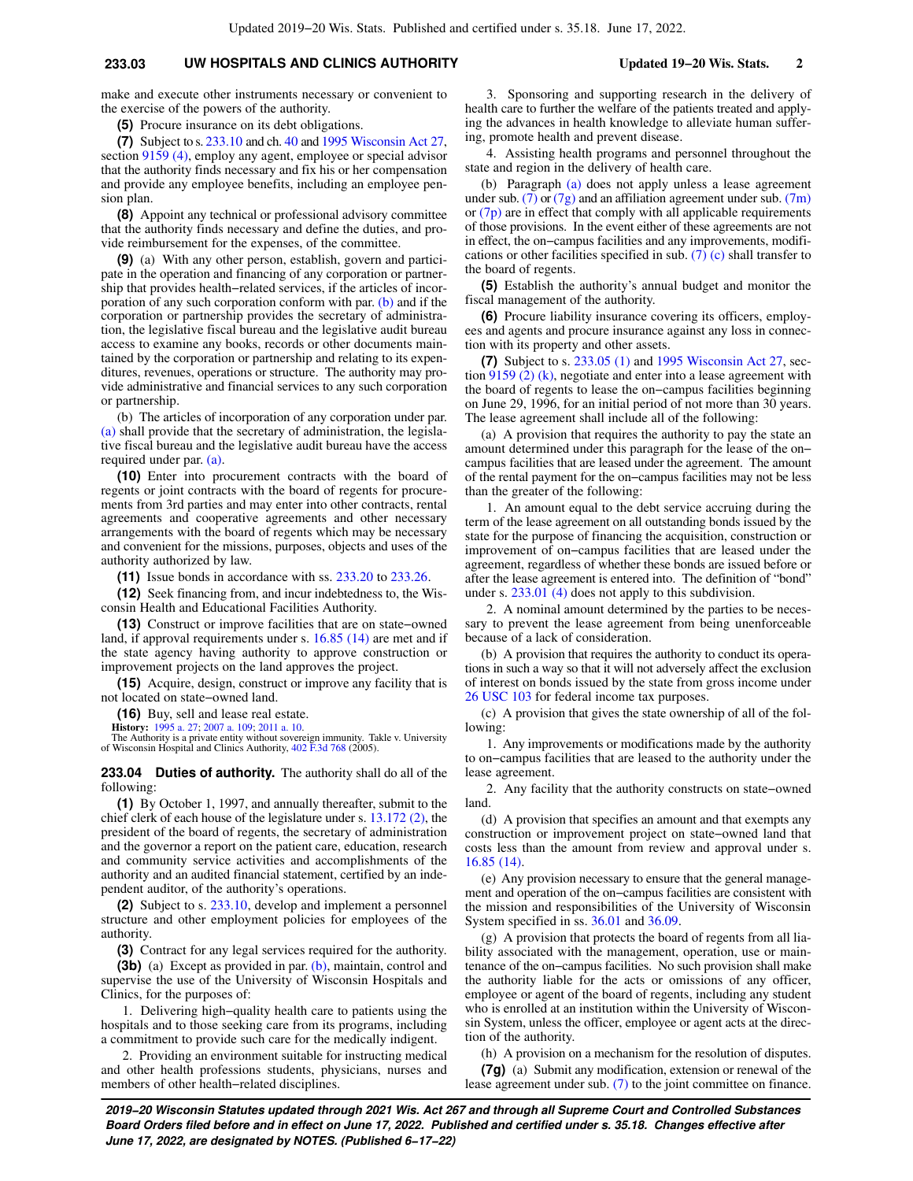## **233.03 UW HOSPITALS AND CLINICS AUTHORITY Updated 19−20 Wis. Stats. 2**

make and execute other instruments necessary or convenient to the exercise of the powers of the authority.

**(5)** Procure insurance on its debt obligations.

**(7)** Subject to s. [233.10](https://docs.legis.wisconsin.gov/document/statutes/233.10) and ch. [40](https://docs.legis.wisconsin.gov/document/statutes/ch.%2040) and [1995 Wisconsin Act 27,](https://docs.legis.wisconsin.gov/document/acts/1995/27) section [9159 \(4\)](https://docs.legis.wisconsin.gov/document/acts/1995/27,%20s.%209159), employ any agent, employee or special advisor that the authority finds necessary and fix his or her compensation and provide any employee benefits, including an employee pension plan.

**(8)** Appoint any technical or professional advisory committee that the authority finds necessary and define the duties, and provide reimbursement for the expenses, of the committee.

**(9)** (a) With any other person, establish, govern and participate in the operation and financing of any corporation or partnership that provides health−related services, if the articles of incorporation of any such corporation conform with par. [\(b\)](https://docs.legis.wisconsin.gov/document/statutes/233.03(9)(b)) and if the corporation or partnership provides the secretary of administration, the legislative fiscal bureau and the legislative audit bureau access to examine any books, records or other documents maintained by the corporation or partnership and relating to its expenditures, revenues, operations or structure. The authority may provide administrative and financial services to any such corporation or partnership.

(b) The articles of incorporation of any corporation under par. [\(a\)](https://docs.legis.wisconsin.gov/document/statutes/233.03(9)(a)) shall provide that the secretary of administration, the legislative fiscal bureau and the legislative audit bureau have the access required under par. [\(a\).](https://docs.legis.wisconsin.gov/document/statutes/233.03(9)(a))

**(10)** Enter into procurement contracts with the board of regents or joint contracts with the board of regents for procurements from 3rd parties and may enter into other contracts, rental agreements and cooperative agreements and other necessary arrangements with the board of regents which may be necessary and convenient for the missions, purposes, objects and uses of the authority authorized by law.

**(11)** Issue bonds in accordance with ss. [233.20](https://docs.legis.wisconsin.gov/document/statutes/233.20) to [233.26](https://docs.legis.wisconsin.gov/document/statutes/233.26).

**(12)** Seek financing from, and incur indebtedness to, the Wisconsin Health and Educational Facilities Authority.

**(13)** Construct or improve facilities that are on state−owned land, if approval requirements under s. [16.85 \(14\)](https://docs.legis.wisconsin.gov/document/statutes/16.85(14)) are met and if the state agency having authority to approve construction or improvement projects on the land approves the project.

**(15)** Acquire, design, construct or improve any facility that is not located on state−owned land.

**(16)** Buy, sell and lease real estate.

**History:** [1995 a. 27;](https://docs.legis.wisconsin.gov/document/acts/1995/27) [2007 a. 109;](https://docs.legis.wisconsin.gov/document/acts/2007/109) [2011 a. 10](https://docs.legis.wisconsin.gov/document/acts/2011/10).

The Authority is a private entity without sovereign immunity. Takle v. University of Wisconsin Hospital and Clinics Authority, [402 F.3d 768](https://docs.legis.wisconsin.gov/document/courts/402%20F.3d%20768) (2005).

**233.04 Duties of authority.** The authority shall do all of the following:

**(1)** By October 1, 1997, and annually thereafter, submit to the chief clerk of each house of the legislature under s. [13.172 \(2\)](https://docs.legis.wisconsin.gov/document/statutes/13.172(2)), the president of the board of regents, the secretary of administration and the governor a report on the patient care, education, research and community service activities and accomplishments of the authority and an audited financial statement, certified by an independent auditor, of the authority's operations.

**(2)** Subject to s. [233.10](https://docs.legis.wisconsin.gov/document/statutes/233.10), develop and implement a personnel structure and other employment policies for employees of the authority.

**(3)** Contract for any legal services required for the authority.

**(3b)** (a) Except as provided in par. [\(b\)](https://docs.legis.wisconsin.gov/document/statutes/233.04(3b)(b)), maintain, control and supervise the use of the University of Wisconsin Hospitals and Clinics, for the purposes of:

1. Delivering high−quality health care to patients using the hospitals and to those seeking care from its programs, including a commitment to provide such care for the medically indigent.

2. Providing an environment suitable for instructing medical and other health professions students, physicians, nurses and members of other health−related disciplines.

3. Sponsoring and supporting research in the delivery of health care to further the welfare of the patients treated and applying the advances in health knowledge to alleviate human suffering, promote health and prevent disease.

4. Assisting health programs and personnel throughout the state and region in the delivery of health care.

(b) Paragraph [\(a\)](https://docs.legis.wisconsin.gov/document/statutes/233.04(3b)(a)) does not apply unless a lease agreement under sub. [\(7\)](https://docs.legis.wisconsin.gov/document/statutes/233.04(7)) or [\(7g\)](https://docs.legis.wisconsin.gov/document/statutes/233.04(7g)) and an affiliation agreement under sub. [\(7m\)](https://docs.legis.wisconsin.gov/document/statutes/233.04(7m)) or [\(7p\)](https://docs.legis.wisconsin.gov/document/statutes/233.04(7p)) are in effect that comply with all applicable requirements of those provisions. In the event either of these agreements are not in effect, the on−campus facilities and any improvements, modifi-cations or other facilities specified in sub. [\(7\) \(c\)](https://docs.legis.wisconsin.gov/document/statutes/233.04(7)(c)) shall transfer to the board of regents.

**(5)** Establish the authority's annual budget and monitor the fiscal management of the authority.

**(6)** Procure liability insurance covering its officers, employees and agents and procure insurance against any loss in connection with its property and other assets.

**(7)** Subject to s. [233.05 \(1\)](https://docs.legis.wisconsin.gov/document/statutes/233.05(1)) and [1995 Wisconsin Act 27](https://docs.legis.wisconsin.gov/document/acts/1995/27), section [9159 \(2\) \(k\)](https://docs.legis.wisconsin.gov/document/acts/1995/27,%20s.%209159), negotiate and enter into a lease agreement with the board of regents to lease the on−campus facilities beginning on June 29, 1996, for an initial period of not more than 30 years. The lease agreement shall include all of the following:

(a) A provision that requires the authority to pay the state an amount determined under this paragraph for the lease of the on− campus facilities that are leased under the agreement. The amount of the rental payment for the on−campus facilities may not be less than the greater of the following:

1. An amount equal to the debt service accruing during the term of the lease agreement on all outstanding bonds issued by the state for the purpose of financing the acquisition, construction or improvement of on−campus facilities that are leased under the agreement, regardless of whether these bonds are issued before or after the lease agreement is entered into. The definition of "bond" under s. [233.01 \(4\)](https://docs.legis.wisconsin.gov/document/statutes/233.01(4)) does not apply to this subdivision.

2. A nominal amount determined by the parties to be necessary to prevent the lease agreement from being unenforceable because of a lack of consideration.

(b) A provision that requires the authority to conduct its operations in such a way so that it will not adversely affect the exclusion of interest on bonds issued by the state from gross income under [26 USC 103](https://docs.legis.wisconsin.gov/document/usc/26%20USC%20103) for federal income tax purposes.

(c) A provision that gives the state ownership of all of the following:

1. Any improvements or modifications made by the authority to on−campus facilities that are leased to the authority under the lease agreement.

2. Any facility that the authority constructs on state−owned land.

(d) A provision that specifies an amount and that exempts any construction or improvement project on state−owned land that costs less than the amount from review and approval under s. [16.85 \(14\).](https://docs.legis.wisconsin.gov/document/statutes/16.85(14))

(e) Any provision necessary to ensure that the general management and operation of the on−campus facilities are consistent with the mission and responsibilities of the University of Wisconsin System specified in ss. [36.01](https://docs.legis.wisconsin.gov/document/statutes/36.01) and [36.09](https://docs.legis.wisconsin.gov/document/statutes/36.09).

(g) A provision that protects the board of regents from all liability associated with the management, operation, use or maintenance of the on−campus facilities. No such provision shall make the authority liable for the acts or omissions of any officer, employee or agent of the board of regents, including any student who is enrolled at an institution within the University of Wisconsin System, unless the officer, employee or agent acts at the direction of the authority.

(h) A provision on a mechanism for the resolution of disputes.

**(7g)** (a) Submit any modification, extension or renewal of the lease agreement under sub. [\(7\)](https://docs.legis.wisconsin.gov/document/statutes/233.04(7)) to the joint committee on finance.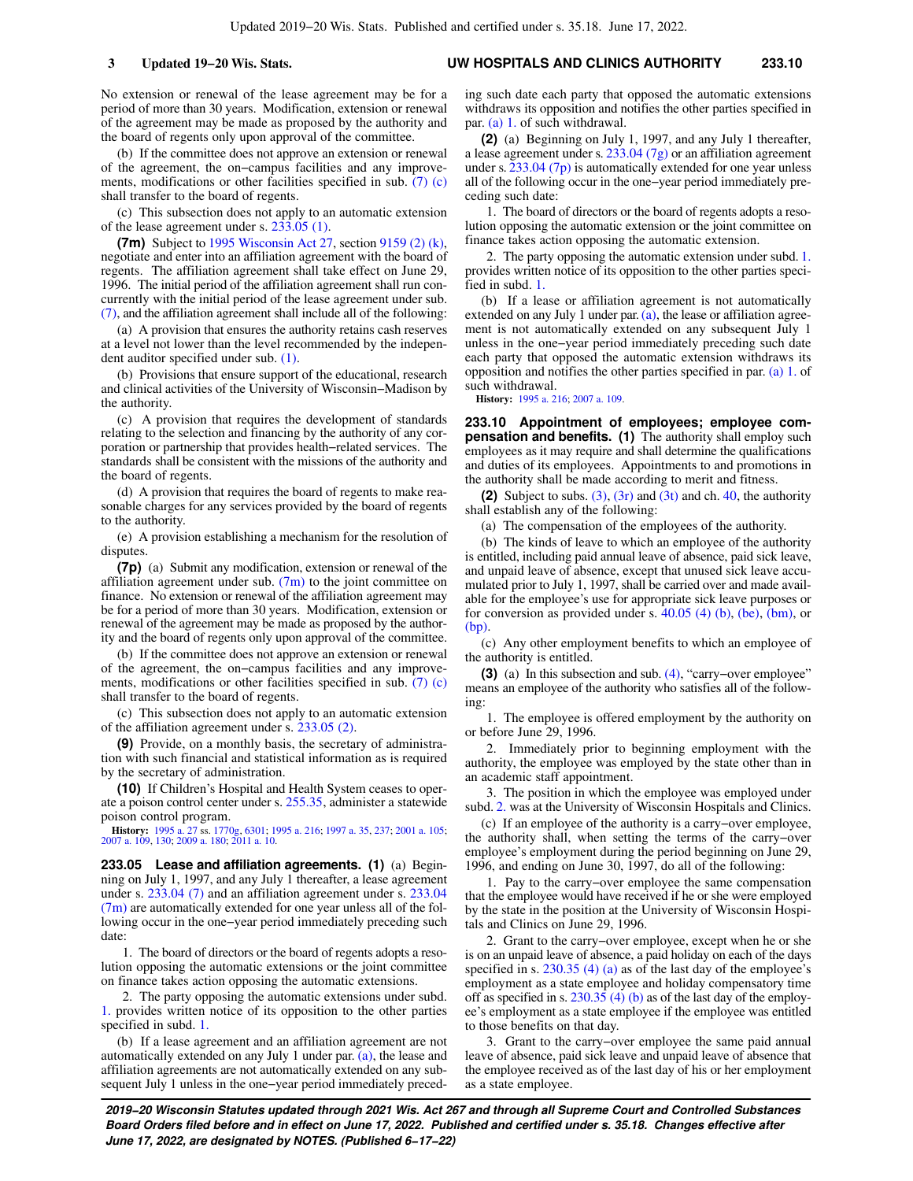No extension or renewal of the lease agreement may be for a period of more than 30 years. Modification, extension or renewal of the agreement may be made as proposed by the authority and the board of regents only upon approval of the committee.

(b) If the committee does not approve an extension or renewal of the agreement, the on−campus facilities and any improvements, modifications or other facilities specified in sub. [\(7\) \(c\)](https://docs.legis.wisconsin.gov/document/statutes/233.04(7)(c)) shall transfer to the board of regents.

(c) This subsection does not apply to an automatic extension of the lease agreement under s. [233.05 \(1\).](https://docs.legis.wisconsin.gov/document/statutes/233.05(1))

**(7m)** Subject to [1995 Wisconsin Act 27](https://docs.legis.wisconsin.gov/document/acts/1995/27), section [9159 \(2\) \(k\),](https://docs.legis.wisconsin.gov/document/acts/1995/27,%20s.%209159) negotiate and enter into an affiliation agreement with the board of regents. The affiliation agreement shall take effect on June 29, 1996. The initial period of the affiliation agreement shall run concurrently with the initial period of the lease agreement under sub. [\(7\)](https://docs.legis.wisconsin.gov/document/statutes/233.04(7)), and the affiliation agreement shall include all of the following:

(a) A provision that ensures the authority retains cash reserves at a level not lower than the level recommended by the independent auditor specified under sub. [\(1\).](https://docs.legis.wisconsin.gov/document/statutes/233.04(1))

(b) Provisions that ensure support of the educational, research and clinical activities of the University of Wisconsin−Madison by the authority.

(c) A provision that requires the development of standards relating to the selection and financing by the authority of any corporation or partnership that provides health−related services. The standards shall be consistent with the missions of the authority and the board of regents.

(d) A provision that requires the board of regents to make reasonable charges for any services provided by the board of regents to the authority.

(e) A provision establishing a mechanism for the resolution of disputes.

**(7p)** (a) Submit any modification, extension or renewal of the affiliation agreement under sub.  $(7m)$  to the joint committee on finance. No extension or renewal of the affiliation agreement may be for a period of more than 30 years. Modification, extension or renewal of the agreement may be made as proposed by the authority and the board of regents only upon approval of the committee.

(b) If the committee does not approve an extension or renewal of the agreement, the on−campus facilities and any improvements, modifications or other facilities specified in sub. [\(7\) \(c\)](https://docs.legis.wisconsin.gov/document/statutes/233.04(7)(c)) shall transfer to the board of regents.

(c) This subsection does not apply to an automatic extension of the affiliation agreement under s. [233.05 \(2\)](https://docs.legis.wisconsin.gov/document/statutes/233.05(2)).

**(9)** Provide, on a monthly basis, the secretary of administration with such financial and statistical information as is required by the secretary of administration.

**(10)** If Children's Hospital and Health System ceases to operate a poison control center under s. [255.35,](https://docs.legis.wisconsin.gov/document/statutes/255.35) administer a statewide poison control program.

**History:** [1995 a. 27](https://docs.legis.wisconsin.gov/document/acts/1995/27) ss. [1770g,](https://docs.legis.wisconsin.gov/document/acts/1995/27,%20s.%201770g) [6301](https://docs.legis.wisconsin.gov/document/acts/1995/27,%20s.%206301); [1995 a. 216;](https://docs.legis.wisconsin.gov/document/acts/1995/216) [1997 a. 35,](https://docs.legis.wisconsin.gov/document/acts/1997/35) [237;](https://docs.legis.wisconsin.gov/document/acts/1997/237) [2001 a. 105](https://docs.legis.wisconsin.gov/document/acts/2001/105); [2007 a. 109,](https://docs.legis.wisconsin.gov/document/acts/2007/109) [130;](https://docs.legis.wisconsin.gov/document/acts/2007/130) [2009 a. 180](https://docs.legis.wisconsin.gov/document/acts/2009/180); [2011 a. 10](https://docs.legis.wisconsin.gov/document/acts/2011/10).

**233.05 Lease and affiliation agreements. (1)** (a) Beginning on July 1, 1997, and any July 1 thereafter, a lease agreement under s. [233.04 \(7\)](https://docs.legis.wisconsin.gov/document/statutes/233.04(7)) and an affiliation agreement under s. [233.04](https://docs.legis.wisconsin.gov/document/statutes/233.04(7m)) [\(7m\)](https://docs.legis.wisconsin.gov/document/statutes/233.04(7m)) are automatically extended for one year unless all of the following occur in the one−year period immediately preceding such date:

1. The board of directors or the board of regents adopts a resolution opposing the automatic extensions or the joint committee on finance takes action opposing the automatic extensions.

2. The party opposing the automatic extensions under subd. [1.](https://docs.legis.wisconsin.gov/document/statutes/233.05(1)(a)1.) provides written notice of its opposition to the other parties specified in subd. [1.](https://docs.legis.wisconsin.gov/document/statutes/233.05(1)(a)1.)

(b) If a lease agreement and an affiliation agreement are not automatically extended on any July 1 under par. [\(a\)](https://docs.legis.wisconsin.gov/document/statutes/233.05(1)(a)), the lease and affiliation agreements are not automatically extended on any subsequent July 1 unless in the one−year period immediately preced-

ing such date each party that opposed the automatic extensions withdraws its opposition and notifies the other parties specified in par. [\(a\) 1.](https://docs.legis.wisconsin.gov/document/statutes/233.05(1)(a)1.) of such withdrawal.

**(2)** (a) Beginning on July 1, 1997, and any July 1 thereafter, a lease agreement under s. [233.04 \(7g\)](https://docs.legis.wisconsin.gov/document/statutes/233.04(7g)) or an affiliation agreement under s. 233.04  $(7p)$  is automatically extended for one year unless all of the following occur in the one−year period immediately preceding such date:

1. The board of directors or the board of regents adopts a resolution opposing the automatic extension or the joint committee on finance takes action opposing the automatic extension.

2. The party opposing the automatic extension under subd. [1.](https://docs.legis.wisconsin.gov/document/statutes/233.05(2)(a)1.) provides written notice of its opposition to the other parties specified in subd. [1.](https://docs.legis.wisconsin.gov/document/statutes/233.05(2)(a)1.)

(b) If a lease or affiliation agreement is not automatically extended on any July 1 under par.  $(a)$ , the lease or affiliation agreement is not automatically extended on any subsequent July 1 unless in the one−year period immediately preceding such date each party that opposed the automatic extension withdraws its opposition and notifies the other parties specified in par. [\(a\) 1.](https://docs.legis.wisconsin.gov/document/statutes/233.05(2)(a)1.) of such withdrawal.

**History:** [1995 a. 216;](https://docs.legis.wisconsin.gov/document/acts/1995/216) [2007 a. 109](https://docs.legis.wisconsin.gov/document/acts/2007/109).

**233.10 Appointment of employees; employee compensation and benefits. (1)** The authority shall employ such employees as it may require and shall determine the qualifications and duties of its employees. Appointments to and promotions in the authority shall be made according to merit and fitness.

**(2)** Subject to subs.  $(3)$ ,  $(3r)$  and  $(3t)$  and ch. [40](https://docs.legis.wisconsin.gov/document/statutes/ch.%2040), the authority shall establish any of the following:

(a) The compensation of the employees of the authority.

(b) The kinds of leave to which an employee of the authority is entitled, including paid annual leave of absence, paid sick leave, and unpaid leave of absence, except that unused sick leave accumulated prior to July 1, 1997, shall be carried over and made available for the employee's use for appropriate sick leave purposes or for conversion as provided under s.  $40.05$  (4) (b), [\(be\),](https://docs.legis.wisconsin.gov/document/statutes/40.05(4)(be)) [\(bm\),](https://docs.legis.wisconsin.gov/document/statutes/40.05(4)(bm)) or  $(bp)$ 

(c) Any other employment benefits to which an employee of the authority is entitled.

**(3)** (a) In this subsection and sub. [\(4\)](https://docs.legis.wisconsin.gov/document/statutes/233.10(4)), "carry−over employee" means an employee of the authority who satisfies all of the following:

1. The employee is offered employment by the authority on or before June 29, 1996.

2. Immediately prior to beginning employment with the authority, the employee was employed by the state other than in an academic staff appointment.

3. The position in which the employee was employed under subd. [2.](https://docs.legis.wisconsin.gov/document/statutes/233.10(3)(a)2.) was at the University of Wisconsin Hospitals and Clinics.

(c) If an employee of the authority is a carry−over employee, the authority shall, when setting the terms of the carry−over employee's employment during the period beginning on June 29, 1996, and ending on June 30, 1997, do all of the following:

1. Pay to the carry−over employee the same compensation that the employee would have received if he or she were employed by the state in the position at the University of Wisconsin Hospitals and Clinics on June 29, 1996.

2. Grant to the carry−over employee, except when he or she is on an unpaid leave of absence, a paid holiday on each of the days specified in s. [230.35 \(4\) \(a\)](https://docs.legis.wisconsin.gov/document/statutes/230.35(4)(a)) as of the last day of the employee's employment as a state employee and holiday compensatory time off as specified in s. [230.35 \(4\) \(b\)](https://docs.legis.wisconsin.gov/document/statutes/230.35(4)(b)) as of the last day of the employee's employment as a state employee if the employee was entitled to those benefits on that day.

3. Grant to the carry−over employee the same paid annual leave of absence, paid sick leave and unpaid leave of absence that the employee received as of the last day of his or her employment as a state employee.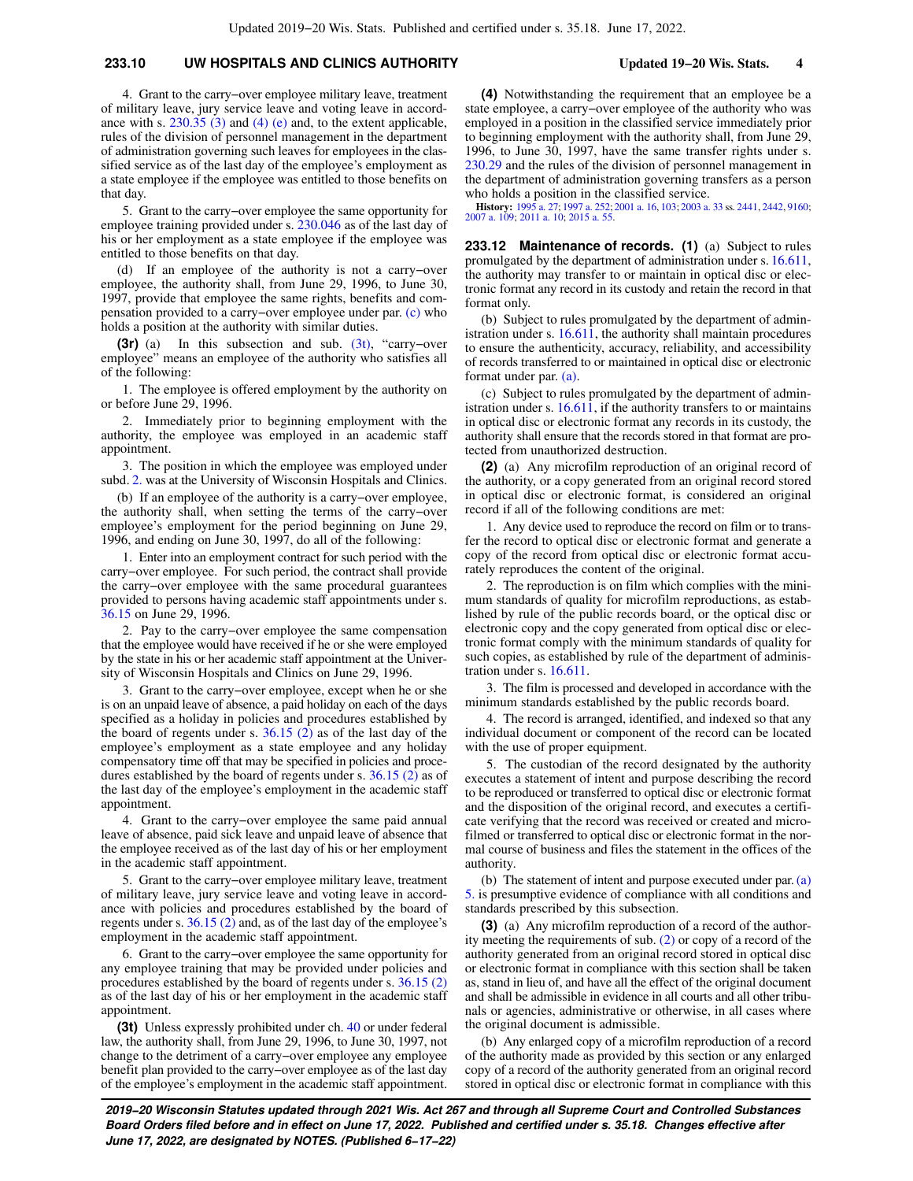## **233.10 UW HOSPITALS AND CLINICS AUTHORITY Updated 19−20 Wis. Stats. 4**

4. Grant to the carry−over employee military leave, treatment of military leave, jury service leave and voting leave in accordance with s. [230.35 \(3\)](https://docs.legis.wisconsin.gov/document/statutes/230.35(3)) and [\(4\) \(e\)](https://docs.legis.wisconsin.gov/document/statutes/230.35(4)(e)) and, to the extent applicable, rules of the division of personnel management in the department of administration governing such leaves for employees in the classified service as of the last day of the employee's employment as a state employee if the employee was entitled to those benefits on that day.

5. Grant to the carry−over employee the same opportunity for employee training provided under s. [230.046](https://docs.legis.wisconsin.gov/document/statutes/230.046) as of the last day of his or her employment as a state employee if the employee was entitled to those benefits on that day.

(d) If an employee of the authority is not a carry−over employee, the authority shall, from June 29, 1996, to June 30, 1997, provide that employee the same rights, benefits and compensation provided to a carry−over employee under par. [\(c\)](https://docs.legis.wisconsin.gov/document/statutes/233.10(3)(c)) who holds a position at the authority with similar duties.

**(3r)** (a) In this subsection and sub. [\(3t\),](https://docs.legis.wisconsin.gov/document/statutes/233.10(3t)) "carry−over employee" means an employee of the authority who satisfies all of the following:

1. The employee is offered employment by the authority on or before June 29, 1996.

2. Immediately prior to beginning employment with the authority, the employee was employed in an academic staff appointment.

3. The position in which the employee was employed under subd. [2.](https://docs.legis.wisconsin.gov/document/statutes/233.10(3r)(a)2.) was at the University of Wisconsin Hospitals and Clinics.

(b) If an employee of the authority is a carry−over employee, the authority shall, when setting the terms of the carry−over employee's employment for the period beginning on June 29, 1996, and ending on June 30, 1997, do all of the following:

1. Enter into an employment contract for such period with the carry−over employee. For such period, the contract shall provide the carry−over employee with the same procedural guarantees provided to persons having academic staff appointments under s. [36.15](https://docs.legis.wisconsin.gov/document/statutes/36.15) on June 29, 1996.

2. Pay to the carry−over employee the same compensation that the employee would have received if he or she were employed by the state in his or her academic staff appointment at the University of Wisconsin Hospitals and Clinics on June 29, 1996.

3. Grant to the carry−over employee, except when he or she is on an unpaid leave of absence, a paid holiday on each of the days specified as a holiday in policies and procedures established by the board of regents under s. [36.15 \(2\)](https://docs.legis.wisconsin.gov/document/statutes/36.15(2)) as of the last day of the employee's employment as a state employee and any holiday compensatory time off that may be specified in policies and procedures established by the board of regents under s. [36.15 \(2\)](https://docs.legis.wisconsin.gov/document/statutes/36.15(2)) as of the last day of the employee's employment in the academic staff appointment.

4. Grant to the carry−over employee the same paid annual leave of absence, paid sick leave and unpaid leave of absence that the employee received as of the last day of his or her employment in the academic staff appointment.

5. Grant to the carry−over employee military leave, treatment of military leave, jury service leave and voting leave in accordance with policies and procedures established by the board of regents under s. [36.15 \(2\)](https://docs.legis.wisconsin.gov/document/statutes/36.15(2)) and, as of the last day of the employee's employment in the academic staff appointment.

6. Grant to the carry−over employee the same opportunity for any employee training that may be provided under policies and procedures established by the board of regents under s. [36.15 \(2\)](https://docs.legis.wisconsin.gov/document/statutes/36.15(2)) as of the last day of his or her employment in the academic staff appointment.

**(3t)** Unless expressly prohibited under ch. [40](https://docs.legis.wisconsin.gov/document/statutes/ch.%2040) or under federal law, the authority shall, from June 29, 1996, to June 30, 1997, not change to the detriment of a carry−over employee any employee benefit plan provided to the carry−over employee as of the last day of the employee's employment in the academic staff appointment.

**(4)** Notwithstanding the requirement that an employee be a state employee, a carry−over employee of the authority who was employed in a position in the classified service immediately prior to beginning employment with the authority shall, from June 29, 1996, to June 30, 1997, have the same transfer rights under s. [230.29](https://docs.legis.wisconsin.gov/document/statutes/230.29) and the rules of the division of personnel management in the department of administration governing transfers as a person who holds a position in the classified service.

**History:** [1995 a. 27](https://docs.legis.wisconsin.gov/document/acts/1995/27); [1997 a. 252](https://docs.legis.wisconsin.gov/document/acts/1997/252); [2001 a. 16](https://docs.legis.wisconsin.gov/document/acts/2001/16), [103;](https://docs.legis.wisconsin.gov/document/acts/2001/103) [2003 a. 33](https://docs.legis.wisconsin.gov/document/acts/2003/33) ss. [2441](https://docs.legis.wisconsin.gov/document/acts/2003/33,%20s.%202441), [2442](https://docs.legis.wisconsin.gov/document/acts/2003/33,%20s.%202442), [9160](https://docs.legis.wisconsin.gov/document/acts/2003/33,%20s.%209160); [2007 a. 109;](https://docs.legis.wisconsin.gov/document/acts/2007/109) [2011 a. 10;](https://docs.legis.wisconsin.gov/document/acts/2011/10) [2015 a. 55](https://docs.legis.wisconsin.gov/document/acts/2015/55).

**233.12 Maintenance of records. (1)** (a) Subject to rules promulgated by the department of administration under s. [16.611,](https://docs.legis.wisconsin.gov/document/statutes/16.611) the authority may transfer to or maintain in optical disc or electronic format any record in its custody and retain the record in that format only.

(b) Subject to rules promulgated by the department of administration under s. [16.611](https://docs.legis.wisconsin.gov/document/statutes/16.611), the authority shall maintain procedures to ensure the authenticity, accuracy, reliability, and accessibility of records transferred to or maintained in optical disc or electronic format under par. [\(a\).](https://docs.legis.wisconsin.gov/document/statutes/233.12(1)(a))

(c) Subject to rules promulgated by the department of administration under s. [16.611](https://docs.legis.wisconsin.gov/document/statutes/16.611), if the authority transfers to or maintains in optical disc or electronic format any records in its custody, the authority shall ensure that the records stored in that format are protected from unauthorized destruction.

**(2)** (a) Any microfilm reproduction of an original record of the authority, or a copy generated from an original record stored in optical disc or electronic format, is considered an original record if all of the following conditions are met:

1. Any device used to reproduce the record on film or to transfer the record to optical disc or electronic format and generate a copy of the record from optical disc or electronic format accurately reproduces the content of the original.

2. The reproduction is on film which complies with the minimum standards of quality for microfilm reproductions, as established by rule of the public records board, or the optical disc or electronic copy and the copy generated from optical disc or electronic format comply with the minimum standards of quality for such copies, as established by rule of the department of administration under s. [16.611](https://docs.legis.wisconsin.gov/document/statutes/16.611).

3. The film is processed and developed in accordance with the minimum standards established by the public records board.

4. The record is arranged, identified, and indexed so that any individual document or component of the record can be located with the use of proper equipment.

5. The custodian of the record designated by the authority executes a statement of intent and purpose describing the record to be reproduced or transferred to optical disc or electronic format and the disposition of the original record, and executes a certificate verifying that the record was received or created and microfilmed or transferred to optical disc or electronic format in the normal course of business and files the statement in the offices of the authority.

(b) The statement of intent and purpose executed under par. [\(a\)](https://docs.legis.wisconsin.gov/document/statutes/233.12(2)(a)5.) [5.](https://docs.legis.wisconsin.gov/document/statutes/233.12(2)(a)5.) is presumptive evidence of compliance with all conditions and standards prescribed by this subsection.

**(3)** (a) Any microfilm reproduction of a record of the authority meeting the requirements of sub. [\(2\)](https://docs.legis.wisconsin.gov/document/statutes/233.12(2)) or copy of a record of the authority generated from an original record stored in optical disc or electronic format in compliance with this section shall be taken as, stand in lieu of, and have all the effect of the original document and shall be admissible in evidence in all courts and all other tribunals or agencies, administrative or otherwise, in all cases where the original document is admissible.

(b) Any enlarged copy of a microfilm reproduction of a record of the authority made as provided by this section or any enlarged copy of a record of the authority generated from an original record stored in optical disc or electronic format in compliance with this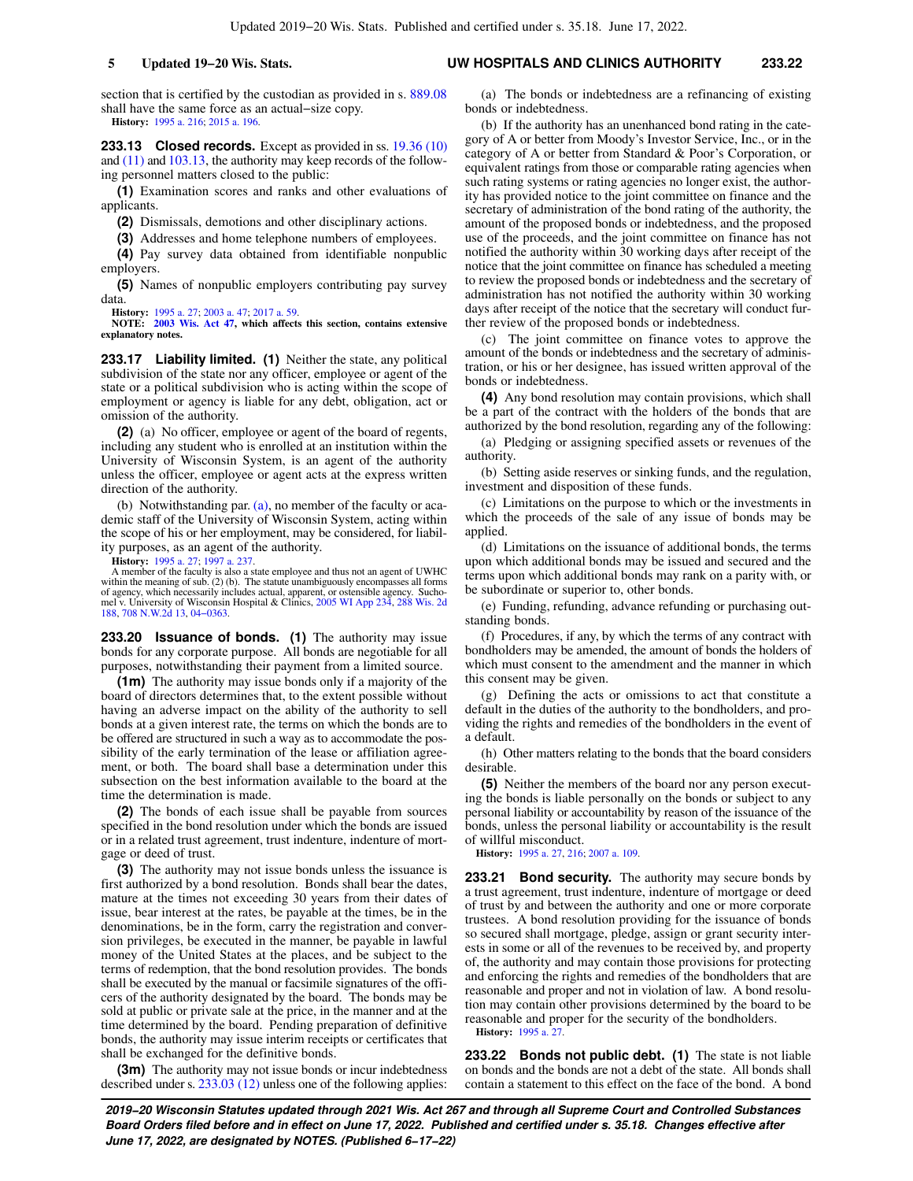section that is certified by the custodian as provided in s. [889.08](https://docs.legis.wisconsin.gov/document/statutes/889.08) shall have the same force as an actual−size copy. **History:** [1995 a. 216](https://docs.legis.wisconsin.gov/document/acts/1995/216); [2015 a. 196](https://docs.legis.wisconsin.gov/document/acts/2015/196).

**233.13 Closed records.** Except as provided in ss. [19.36 \(10\)](https://docs.legis.wisconsin.gov/document/statutes/19.36(10)) and [\(11\)](https://docs.legis.wisconsin.gov/document/statutes/19.36(11)) and [103.13,](https://docs.legis.wisconsin.gov/document/statutes/103.13) the authority may keep records of the following personnel matters closed to the public:

**(1)** Examination scores and ranks and other evaluations of applicants.

**(2)** Dismissals, demotions and other disciplinary actions.

**(3)** Addresses and home telephone numbers of employees.

**(4)** Pay survey data obtained from identifiable nonpublic employers.

**(5)** Names of nonpublic employers contributing pay survey data.

**History:** [1995 a. 27;](https://docs.legis.wisconsin.gov/document/acts/1995/27) [2003 a. 47;](https://docs.legis.wisconsin.gov/document/acts/2003/47) [2017 a. 59](https://docs.legis.wisconsin.gov/document/acts/2017/59).

**NOTE: [2003 Wis. Act 47](https://docs.legis.wisconsin.gov/document/acts/2003/47), which affects this section, contains extensive explanatory notes.**

**233.17 Liability limited. (1)** Neither the state, any political subdivision of the state nor any officer, employee or agent of the state or a political subdivision who is acting within the scope of employment or agency is liable for any debt, obligation, act or omission of the authority.

**(2)** (a) No officer, employee or agent of the board of regents, including any student who is enrolled at an institution within the University of Wisconsin System, is an agent of the authority unless the officer, employee or agent acts at the express written direction of the authority.

(b) Notwithstanding par. [\(a\)](https://docs.legis.wisconsin.gov/document/statutes/233.17(2)(a)), no member of the faculty or academic staff of the University of Wisconsin System, acting within the scope of his or her employment, may be considered, for liability purposes, as an agent of the authority.

**History:** [1995 a. 27;](https://docs.legis.wisconsin.gov/document/acts/1995/27) [1997 a. 237.](https://docs.legis.wisconsin.gov/document/acts/1997/237)

A member of the faculty is also a state employee and thus not an agent of UWHC within the meaning of sub. (2) (b). The statute unambiguously encompasses all forms of agency, which necessarily includes actual, apparent, or ostensible agency. Sucho-mel v. University of Wisconsin Hospital & Clinics, [2005 WI App 234,](https://docs.legis.wisconsin.gov/document/courts/2005%20WI%20App%20234) [288 Wis. 2d](https://docs.legis.wisconsin.gov/document/courts/288%20Wis.%202d%20188) [188](https://docs.legis.wisconsin.gov/document/courts/288%20Wis.%202d%20188), [708 N.W.2d 13](https://docs.legis.wisconsin.gov/document/courts/708%20N.W.2d%2013), [04−0363.](https://docs.legis.wisconsin.gov/document/wicourtofappeals/04-0363)

**233.20 Issuance of bonds. (1)** The authority may issue bonds for any corporate purpose. All bonds are negotiable for all purposes, notwithstanding their payment from a limited source.

**(1m)** The authority may issue bonds only if a majority of the board of directors determines that, to the extent possible without having an adverse impact on the ability of the authority to sell bonds at a given interest rate, the terms on which the bonds are to be offered are structured in such a way as to accommodate the possibility of the early termination of the lease or affiliation agreement, or both. The board shall base a determination under this subsection on the best information available to the board at the time the determination is made.

**(2)** The bonds of each issue shall be payable from sources specified in the bond resolution under which the bonds are issued or in a related trust agreement, trust indenture, indenture of mortgage or deed of trust.

**(3)** The authority may not issue bonds unless the issuance is first authorized by a bond resolution. Bonds shall bear the dates, mature at the times not exceeding 30 years from their dates of issue, bear interest at the rates, be payable at the times, be in the denominations, be in the form, carry the registration and conversion privileges, be executed in the manner, be payable in lawful money of the United States at the places, and be subject to the terms of redemption, that the bond resolution provides. The bonds shall be executed by the manual or facsimile signatures of the officers of the authority designated by the board. The bonds may be sold at public or private sale at the price, in the manner and at the time determined by the board. Pending preparation of definitive bonds, the authority may issue interim receipts or certificates that shall be exchanged for the definitive bonds.

**(3m)** The authority may not issue bonds or incur indebtedness described under s. [233.03 \(12\)](https://docs.legis.wisconsin.gov/document/statutes/233.03(12)) unless one of the following applies:

(a) The bonds or indebtedness are a refinancing of existing bonds or indebtedness.

(b) If the authority has an unenhanced bond rating in the category of A or better from Moody's Investor Service, Inc., or in the category of A or better from Standard & Poor's Corporation, or equivalent ratings from those or comparable rating agencies when such rating systems or rating agencies no longer exist, the authority has provided notice to the joint committee on finance and the secretary of administration of the bond rating of the authority, the amount of the proposed bonds or indebtedness, and the proposed use of the proceeds, and the joint committee on finance has not notified the authority within 30 working days after receipt of the notice that the joint committee on finance has scheduled a meeting to review the proposed bonds or indebtedness and the secretary of administration has not notified the authority within 30 working days after receipt of the notice that the secretary will conduct further review of the proposed bonds or indebtedness.

(c) The joint committee on finance votes to approve the amount of the bonds or indebtedness and the secretary of administration, or his or her designee, has issued written approval of the bonds or indebtedness.

**(4)** Any bond resolution may contain provisions, which shall be a part of the contract with the holders of the bonds that are authorized by the bond resolution, regarding any of the following:

(a) Pledging or assigning specified assets or revenues of the authority.

(b) Setting aside reserves or sinking funds, and the regulation, investment and disposition of these funds.

(c) Limitations on the purpose to which or the investments in which the proceeds of the sale of any issue of bonds may be applied.

(d) Limitations on the issuance of additional bonds, the terms upon which additional bonds may be issued and secured and the terms upon which additional bonds may rank on a parity with, or be subordinate or superior to, other bonds.

(e) Funding, refunding, advance refunding or purchasing outstanding bonds.

(f) Procedures, if any, by which the terms of any contract with bondholders may be amended, the amount of bonds the holders of which must consent to the amendment and the manner in which this consent may be given.

(g) Defining the acts or omissions to act that constitute a default in the duties of the authority to the bondholders, and providing the rights and remedies of the bondholders in the event of a default.

(h) Other matters relating to the bonds that the board considers desirable.

**(5)** Neither the members of the board nor any person executing the bonds is liable personally on the bonds or subject to any personal liability or accountability by reason of the issuance of the bonds, unless the personal liability or accountability is the result of willful misconduct.

**History:** [1995 a. 27](https://docs.legis.wisconsin.gov/document/acts/1995/27), [216](https://docs.legis.wisconsin.gov/document/acts/1995/216); [2007 a. 109.](https://docs.legis.wisconsin.gov/document/acts/2007/109)

**233.21 Bond security.** The authority may secure bonds by a trust agreement, trust indenture, indenture of mortgage or deed of trust by and between the authority and one or more corporate trustees. A bond resolution providing for the issuance of bonds so secured shall mortgage, pledge, assign or grant security interests in some or all of the revenues to be received by, and property of, the authority and may contain those provisions for protecting and enforcing the rights and remedies of the bondholders that are reasonable and proper and not in violation of law. A bond resolution may contain other provisions determined by the board to be reasonable and proper for the security of the bondholders. **History:** [1995 a. 27](https://docs.legis.wisconsin.gov/document/acts/1995/27).

**233.22 Bonds not public debt. (1)** The state is not liable on bonds and the bonds are not a debt of the state. All bonds shall contain a statement to this effect on the face of the bond. A bond

**2019−20 Wisconsin Statutes updated through 2021 Wis. Act 267 and through all Supreme Court and Controlled Substances Board Orders filed before and in effect on June 17, 2022. Published and certified under s. 35.18. Changes effective after June 17, 2022, are designated by NOTES. (Published 6−17−22)**

### **5 Updated 19−20 Wis. Stats. UW HOSPITALS AND CLINICS AUTHORITY 233.22**